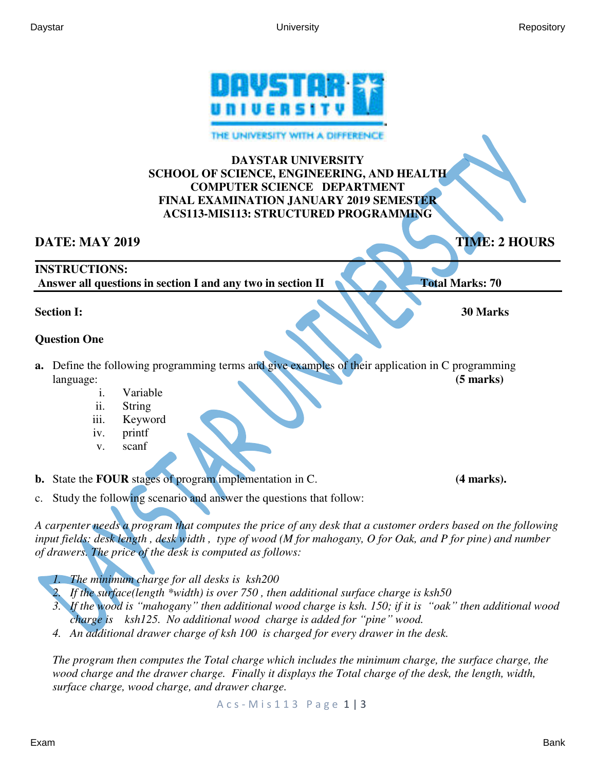

THE UNIVERSITY WITH A DIFFERENC

### **DAYSTAR UNIVERSITY SCHOOL OF SCIENCE, ENGINEERING, AND HEALTH COMPUTER SCIENCE DEPARTMENT FINAL EXAMINATION JANUARY 2019 SEMESTER ACS113-MIS113: STRUCTURED PROGRAMMING**

## **DATE: MAY 2019** TIME: 2 HOURS

#### **\_\_\_\_\_\_\_\_\_\_\_\_\_\_\_\_\_\_\_\_\_\_\_\_\_\_\_\_\_\_\_\_\_\_\_\_\_\_\_\_\_\_\_\_\_\_\_\_\_\_\_\_\_\_\_\_\_\_\_\_\_\_\_\_\_\_\_\_\_\_\_\_\_\_\_\_\_\_\_\_\_\_\_\_\_\_\_\_\_\_ INSTRUCTIONS:**

 **Answer all questions in section I and any two in section II Total Marks: 70** 

# **Section I:** 30 Marks **30 Marks**

## **Question One**

- **a.** Define the following programming terms and give examples of their application in C programming language: **(5 marks) (5 marks)** 
	- i. Variable
	- ii. String
	- iii. Keyword
	- iv. printf
	- v. scanf

**b.** State the **FOUR** stages of program implementation in C. (4 marks).

c. Study the following scenario and answer the questions that follow:

*A carpenter needs a program that computes the price of any desk that a customer orders based on the following input fields: desk length , desk width , type of wood (M for mahogany, O for Oak, and P for pine) and number of drawers. The price of the desk is computed as follows:* 

- *1. The minimum charge for all desks is ksh200*
- *2. If the surface(length \*width) is over 750 , then additional surface charge is ksh50*
- *3. If the wood is "mahogany" then additional wood charge is ksh. 150; if it is "oak" then additional wood charge is ksh125. No additional wood charge is added for "pine" wood.*
- *4. An additional drawer charge of ksh 100 is charged for every drawer in the desk.*

*The program then computes the Total charge which includes the minimum charge, the surface charge, the wood charge and the drawer charge. Finally it displays the Total charge of the desk, the length, width, surface charge, wood charge, and drawer charge.*

A c s - M i s 1 1 3 P a g e 1 | 3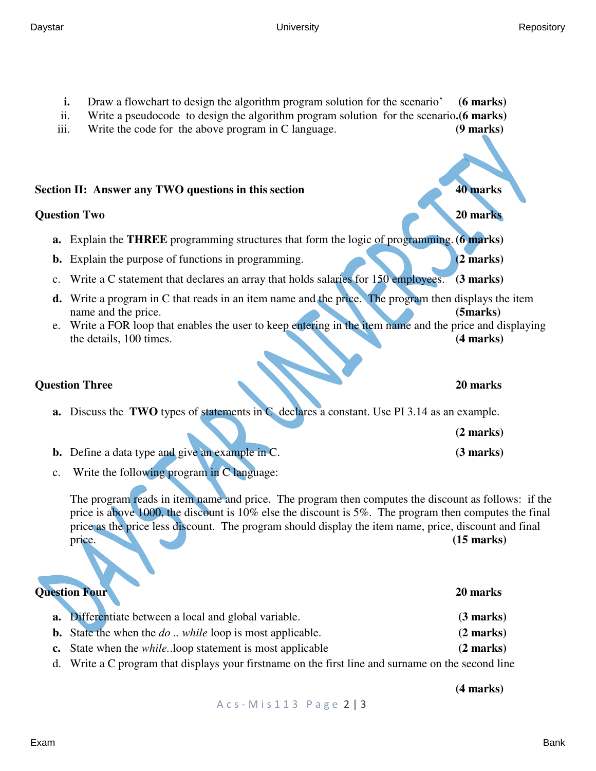Daystar University Repository

- **i.** Draw a flowchart to design the algorithm program solution for the scenario' **(6 marks)** ii. Write a pseudocode to design the algorithm program solution for the scenario**.(6 marks)** iii. Write the code for the above program in C language. **(9 marks) Section II: Answer any TWO questions in this section 40 marks Question Two 20 marks 20 marks a.** Explain the **THREE** programming structures that form the logic of programming. **(6 marks) b.** Explain the purpose of functions in programming. **(2 marks) (2 marks)** c. Write a C statement that declares an array that holds salaries for 150 employees. **(3 marks) d.** Write a program in C that reads in an item name and the price. The program then displays the item name and the price. **(5marks) (5marks) (5marks)** e. Write a FOR loop that enables the user to keep entering in the item name and the price and displaying the details, 100 times. **(4 marks) Question Three** 20 marks **20 marks a.** Discuss the **TWO** types of statements in C declares a constant. Use PI 3.14 as an example. **(2 marks) b.** Define a data type and give an example in C. **(3 marks) (3 marks)** c. Write the following program in C language: The program reads in item name and price. The program then computes the discount as follows: if the price is above 1000, the discount is 10% else the discount is 5%. The program then computes the final price as the price less discount. The program should display the item name, price, discount and final price. **(15 marks) (15 marks) Question Four 20 marks 20 marks a.** Differentiate between a local and global variable. **(3 marks) b.** State the when the *do* .. *while* loop is most applicable. **(2 marks) c.** State when the *while.*.loop statement is most applicable **(2 marks)**  d. Write a C program that displays your firstname on the first line and surname on the second line
	- A c s M i s 1 1 3 P a g e 2 | 3

**(4 marks)**